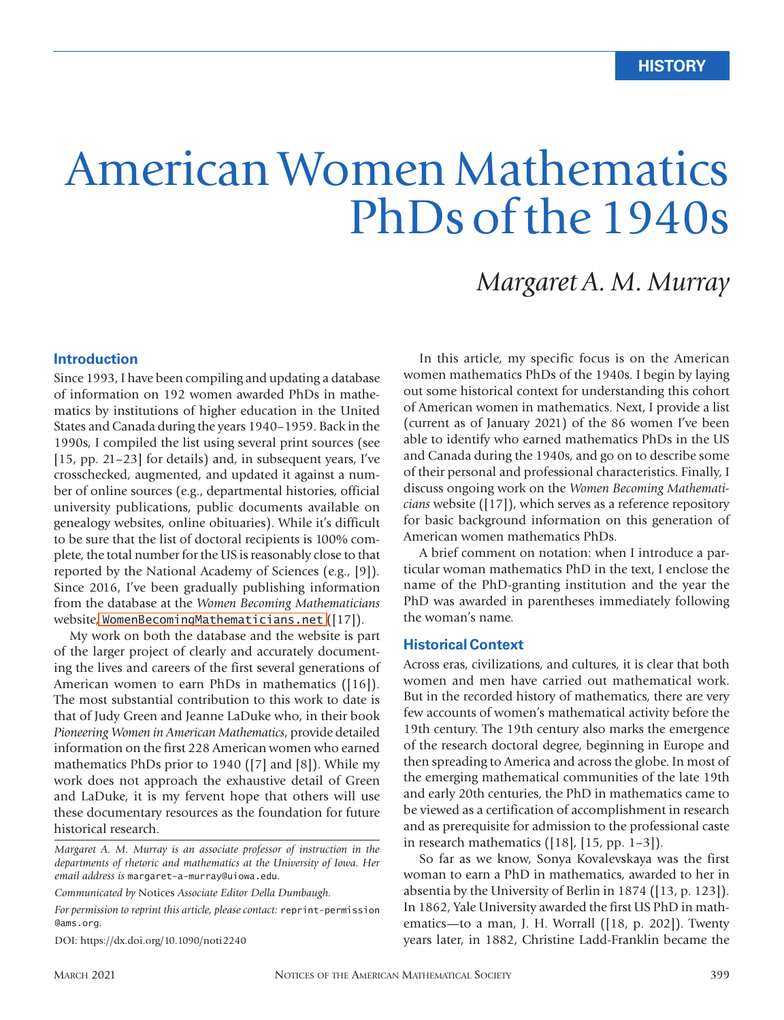# American Women Mathematics PhDs of the 1940s

# *Margaret A. M. Murray*

#### **Introduction**

Since 1993, I have been compiling and updating a database of information on 192 women awarded PhDs in mathematics by institutions of higher education in the United States and Canada during the years 1940–1959. Back in the 1990s, I compiled the list using several print sources (see [15, pp. 21–23] for details) and, in subsequent years, I've crosschecked, augmented, and updated it against a number of online sources (e.g., departmental histories, official university publications, public documents available on genealogy websites, online obituaries). While it's difficult to be sure that the list of doctoral recipients is 100% complete, the total number for the US is reasonably close to that reported by the National Academy of Sciences (e.g., [9]). Since 2016, I've been gradually publishing information from the database at the *Women Becoming Mathematicians* website, [WomenBecomingMathematicians.net](http://WomenBecomingMathematicians.net) ([17]).

My work on both the database and the website is part of the larger project of clearly and accurately documenting the lives and careers of the first several generations of American women to earn PhDs in mathematics ([16]). The most substantial contribution to this work to date is that of Judy Green and Jeanne LaDuke who, in their book *Pioneering Women in American Mathematics*, provide detailed information on the first 228 American women who earned mathematics PhDs prior to 1940 ([7] and [8]). While my work does not approach the exhaustive detail of Green and LaDuke, it is my fervent hope that others will use these documentary resources as the foundation for future historical research.

*Communicated by* Notices *Associate Editor Della Dumbaugh.*

*For permission to reprint this article, please contact:* reprint-permission @ams.org.

DOI: https://dx.doi.org/10.1090/noti2240

In this article, my specific focus is on the American women mathematics PhDs of the 1940s. I begin by laying out some historical context for understanding this cohort of American women in mathematics. Next, I provide a list (current as of January 2021) of the 86 women I've been able to identify who earned mathematics PhDs in the US and Canada during the 1940s, and go on to describe some of their personal and professional characteristics. Finally, I discuss ongoing work on the *Women Becoming Mathematicians* website ([17]), which serves as a reference repository for basic background information on this generation of American women mathematics PhDs.

A brief comment on notation: when I introduce a particular woman mathematics PhD in the text, I enclose the name of the PhD-granting institution and the year the PhD was awarded in parentheses immediately following the woman's name.

#### **Historical Context**

Across eras, civilizations, and cultures, it is clear that both women and men have carried out mathematical work. But in the recorded history of mathematics, there are very few accounts of women's mathematical activity before the 19th century. The 19th century also marks the emergence of the research doctoral degree, beginning in Europe and then spreading to America and across the globe. In most of the emerging mathematical communities of the late 19th and early 20th centuries, the PhD in mathematics came to be viewed as a certification of accomplishment in research and as prerequisite for admission to the professional caste in research mathematics  $([18], [15, pp. 1-3])$ .

So far as we know, Sonya Kovalevskaya was the first woman to earn a PhD in mathematics, awarded to her in absentia by the University of Berlin in 1874 ([13, p. 123]). In 1862, Yale University awarded the first US PhD in mathematics—to a man, J. H. Worrall ([18, p. 202]). Twenty years later, in 1882, Christine Ladd-Franklin became the

*Margaret A. M. Murray is an associate professor of instruction in the departments of rhetoric and mathematics at the University of Iowa. Her email address is* margaret-a-murray@uiowa.edu*.*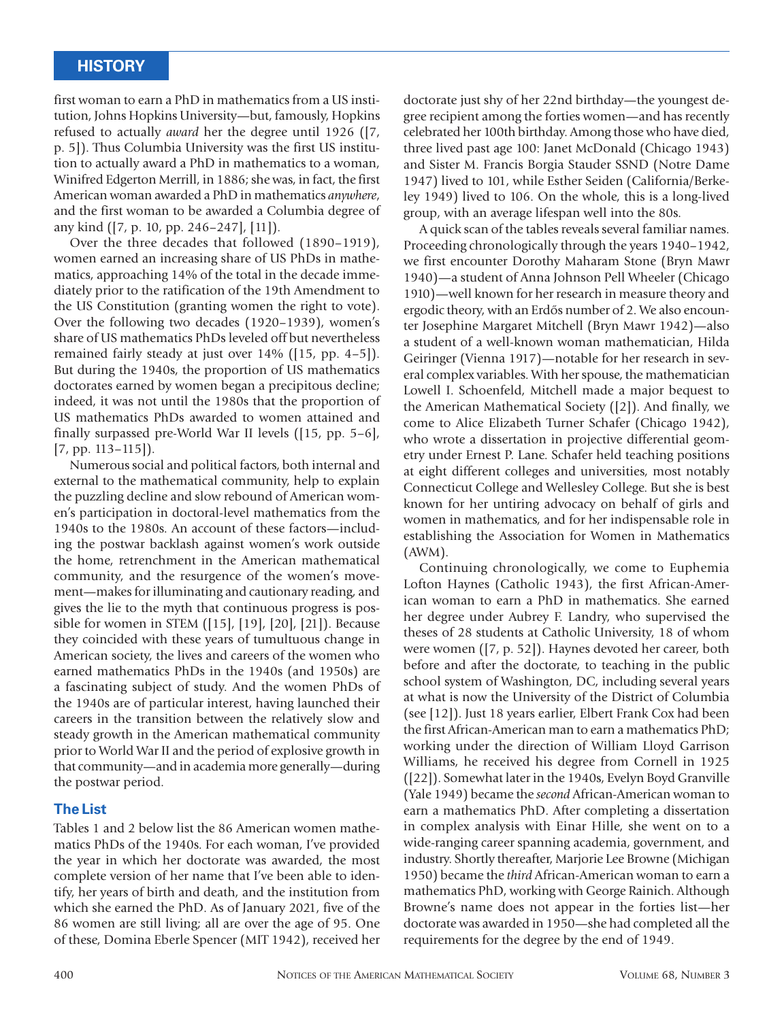first woman to earn a PhD in mathematics from a US institution, Johns Hopkins University—but, famously, Hopkins refused to actually *award* her the degree until 1926 ([7, p. 5]). Thus Columbia University was the first US institution to actually award a PhD in mathematics to a woman, Winifred Edgerton Merrill, in 1886; she was, in fact, the first American woman awarded a PhD in mathematics *anywhere*, and the first woman to be awarded a Columbia degree of any kind ([7, p. 10, pp. 246–247], [11]).

Over the three decades that followed (1890–1919), women earned an increasing share of US PhDs in mathematics, approaching 14% of the total in the decade immediately prior to the ratification of the 19th Amendment to the US Constitution (granting women the right to vote). Over the following two decades (1920–1939), women's share of US mathematics PhDs leveled off but nevertheless remained fairly steady at just over 14% ([15, pp. 4–5]). But during the 1940s, the proportion of US mathematics doctorates earned by women began a precipitous decline; indeed, it was not until the 1980s that the proportion of US mathematics PhDs awarded to women attained and finally surpassed pre-World War II levels ([15, pp. 5–6], [7, pp. 113–115]).

Numerous social and political factors, both internal and external to the mathematical community, help to explain the puzzling decline and slow rebound of American women's participation in doctoral-level mathematics from the 1940s to the 1980s. An account of these factors—including the postwar backlash against women's work outside the home, retrenchment in the American mathematical community, and the resurgence of the women's movement—makes for illuminating and cautionary reading, and gives the lie to the myth that continuous progress is possible for women in STEM ([15], [19], [20], [21]). Because they coincided with these years of tumultuous change in American society, the lives and careers of the women who earned mathematics PhDs in the 1940s (and 1950s) are a fascinating subject of study. And the women PhDs of the 1940s are of particular interest, having launched their careers in the transition between the relatively slow and steady growth in the American mathematical community prior to World War II and the period of explosive growth in that community—and in academia more generally—during the postwar period.

#### **The List**

Tables 1 and 2 below list the 86 American women mathematics PhDs of the 1940s. For each woman, I've provided the year in which her doctorate was awarded, the most complete version of her name that I've been able to identify, her years of birth and death, and the institution from which she earned the PhD. As of January 2021, five of the 86 women are still living; all are over the age of 95. One of these, Domina Eberle Spencer (MIT 1942), received her

doctorate just shy of her 22nd birthday—the youngest degree recipient among the forties women—and has recently celebrated her 100th birthday. Among those who have died, three lived past age 100: Janet McDonald (Chicago 1943) and Sister M. Francis Borgia Stauder SSND (Notre Dame 1947) lived to 101, while Esther Seiden (California/Berkeley 1949) lived to 106. On the whole, this is a long-lived group, with an average lifespan well into the 80s.

A quick scan of the tables reveals several familiar names. Proceeding chronologically through the years 1940–1942, we first encounter Dorothy Maharam Stone (Bryn Mawr 1940)—a student of Anna Johnson Pell Wheeler (Chicago 1910)—well known for her research in measure theory and ergodic theory, with an Erdős number of 2. We also encounter Josephine Margaret Mitchell (Bryn Mawr 1942)—also a student of a well-known woman mathematician, Hilda Geiringer (Vienna 1917)—notable for her research in several complex variables. With her spouse, the mathematician Lowell I. Schoenfeld, Mitchell made a major bequest to the American Mathematical Society ([2]). And finally, we come to Alice Elizabeth Turner Schafer (Chicago 1942), who wrote a dissertation in projective differential geometry under Ernest P. Lane. Schafer held teaching positions at eight different colleges and universities, most notably Connecticut College and Wellesley College. But she is best known for her untiring advocacy on behalf of girls and women in mathematics, and for her indispensable role in establishing the Association for Women in Mathematics (AWM).

Continuing chronologically, we come to Euphemia Lofton Haynes (Catholic 1943), the first African-American woman to earn a PhD in mathematics. She earned her degree under Aubrey F. Landry, who supervised the theses of 28 students at Catholic University, 18 of whom were women ([7, p. 52]). Haynes devoted her career, both before and after the doctorate, to teaching in the public school system of Washington, DC, including several years at what is now the University of the District of Columbia (see [12]). Just 18 years earlier, Elbert Frank Cox had been the first African-American man to earn a mathematics PhD; working under the direction of William Lloyd Garrison Williams, he received his degree from Cornell in 1925 ([22]). Somewhat later in the 1940s, Evelyn Boyd Granville (Yale 1949) became the *second* African-American woman to earn a mathematics PhD. After completing a dissertation in complex analysis with Einar Hille, she went on to a wide-ranging career spanning academia, government, and industry. Shortly thereafter, Marjorie Lee Browne (Michigan 1950) became the *third* African-American woman to earn a mathematics PhD, working with George Rainich. Although Browne's name does not appear in the forties list—her doctorate was awarded in 1950—she had completed all the requirements for the degree by the end of 1949.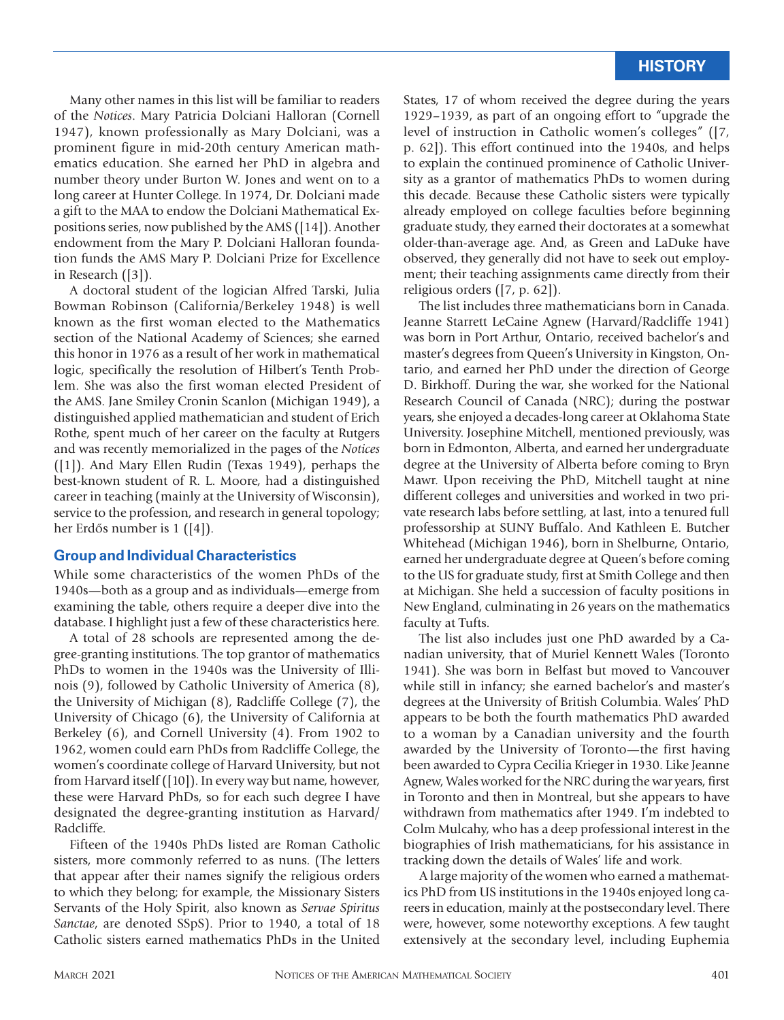Many other names in this list will be familiar to readers of the *Notices*. Mary Patricia Dolciani Halloran (Cornell 1947), known professionally as Mary Dolciani, was a prominent figure in mid-20th century American mathematics education. She earned her PhD in algebra and number theory under Burton W. Jones and went on to a long career at Hunter College. In 1974, Dr. Dolciani made a gift to the MAA to endow the Dolciani Mathematical Expositions series, now published by the AMS ([14]). Another endowment from the Mary P. Dolciani Halloran foundation funds the AMS Mary P. Dolciani Prize for Excellence in Research ([3]).

A doctoral student of the logician Alfred Tarski, Julia Bowman Robinson (California/Berkeley 1948) is well known as the first woman elected to the Mathematics section of the National Academy of Sciences; she earned this honor in 1976 as a result of her work in mathematical logic, specifically the resolution of Hilbert's Tenth Problem. She was also the first woman elected President of the AMS. Jane Smiley Cronin Scanlon (Michigan 1949), a distinguished applied mathematician and student of Erich Rothe, spent much of her career on the faculty at Rutgers and was recently memorialized in the pages of the *Notices* ([1]). And Mary Ellen Rudin (Texas 1949), perhaps the best-known student of R. L. Moore, had a distinguished career in teaching (mainly at the University of Wisconsin), service to the profession, and research in general topology; her Erdős number is  $1$  ([4]).

#### **Group and Individual Characteristics**

While some characteristics of the women PhDs of the 1940s—both as a group and as individuals—emerge from examining the table, others require a deeper dive into the database. I highlight just a few of these characteristics here.

A total of 28 schools are represented among the degree-granting institutions. The top grantor of mathematics PhDs to women in the 1940s was the University of Illinois (9), followed by Catholic University of America (8), the University of Michigan (8), Radcliffe College (7), the University of Chicago (6), the University of California at Berkeley (6), and Cornell University (4). From 1902 to 1962, women could earn PhDs from Radcliffe College, the women's coordinate college of Harvard University, but not from Harvard itself ([10]). In every way but name, however, these were Harvard PhDs, so for each such degree I have designated the degree-granting institution as Harvard/ Radcliffe.

Fifteen of the 1940s PhDs listed are Roman Catholic sisters, more commonly referred to as nuns. (The letters that appear after their names signify the religious orders to which they belong; for example, the Missionary Sisters Servants of the Holy Spirit, also known as *Servae Spiritus Sanctae*, are denoted SSpS). Prior to 1940, a total of 18 Catholic sisters earned mathematics PhDs in the United

States, 17 of whom received the degree during the years 1929–1939, as part of an ongoing effort to "upgrade the level of instruction in Catholic women's colleges" ([7, p. 62]). This effort continued into the 1940s, and helps to explain the continued prominence of Catholic University as a grantor of mathematics PhDs to women during this decade. Because these Catholic sisters were typically already employed on college faculties before beginning graduate study, they earned their doctorates at a somewhat older-than-average age. And, as Green and LaDuke have observed, they generally did not have to seek out employment; their teaching assignments came directly from their religious orders ([7, p. 62]).

The list includes three mathematicians born in Canada. Jeanne Starrett LeCaine Agnew (Harvard/Radcliffe 1941) was born in Port Arthur, Ontario, received bachelor's and master's degrees from Queen's University in Kingston, Ontario, and earned her PhD under the direction of George D. Birkhoff. During the war, she worked for the National Research Council of Canada (NRC); during the postwar years, she enjoyed a decades-long career at Oklahoma State University. Josephine Mitchell, mentioned previously, was born in Edmonton, Alberta, and earned her undergraduate degree at the University of Alberta before coming to Bryn Mawr. Upon receiving the PhD, Mitchell taught at nine different colleges and universities and worked in two private research labs before settling, at last, into a tenured full professorship at SUNY Buffalo. And Kathleen E. Butcher Whitehead (Michigan 1946), born in Shelburne, Ontario, earned her undergraduate degree at Queen's before coming to the US for graduate study, first at Smith College and then at Michigan. She held a succession of faculty positions in New England, culminating in 26 years on the mathematics faculty at Tufts.

The list also includes just one PhD awarded by a Canadian university, that of Muriel Kennett Wales (Toronto 1941). She was born in Belfast but moved to Vancouver while still in infancy; she earned bachelor's and master's degrees at the University of British Columbia. Wales' PhD appears to be both the fourth mathematics PhD awarded to a woman by a Canadian university and the fourth awarded by the University of Toronto—the first having been awarded to Cypra Cecilia Krieger in 1930. Like Jeanne Agnew, Wales worked for the NRC during the war years, first in Toronto and then in Montreal, but she appears to have withdrawn from mathematics after 1949. I'm indebted to Colm Mulcahy, who has a deep professional interest in the biographies of Irish mathematicians, for his assistance in tracking down the details of Wales' life and work.

A large majority of the women who earned a mathematics PhD from US institutions in the 1940s enjoyed long careers in education, mainly at the postsecondary level. There were, however, some noteworthy exceptions. A few taught extensively at the secondary level, including Euphemia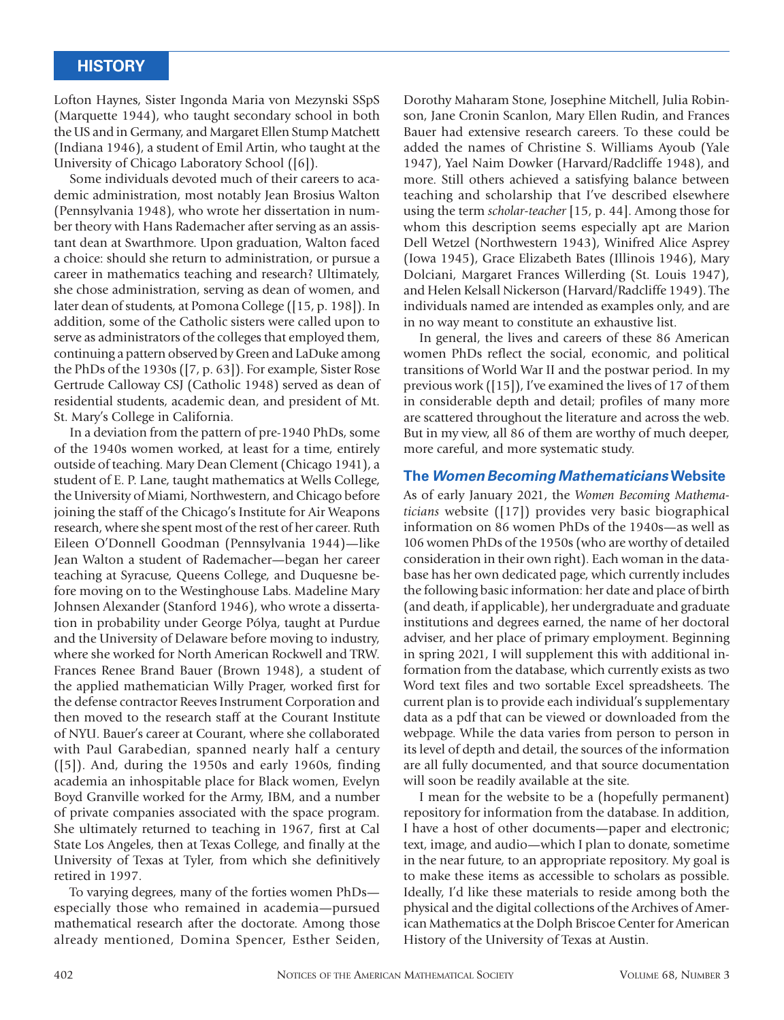Lofton Haynes, Sister Ingonda Maria von Mezynski SSpS (Marquette 1944), who taught secondary school in both the US and in Germany, and Margaret Ellen Stump Matchett (Indiana 1946), a student of Emil Artin, who taught at the University of Chicago Laboratory School ([6]).

Some individuals devoted much of their careers to academic administration, most notably Jean Brosius Walton (Pennsylvania 1948), who wrote her dissertation in number theory with Hans Rademacher after serving as an assistant dean at Swarthmore. Upon graduation, Walton faced a choice: should she return to administration, or pursue a career in mathematics teaching and research? Ultimately, she chose administration, serving as dean of women, and later dean of students, at Pomona College ([15, p. 198]). In addition, some of the Catholic sisters were called upon to serve as administrators of the colleges that employed them, continuing a pattern observed by Green and LaDuke among the PhDs of the 1930s ([7, p. 63]). For example, Sister Rose Gertrude Calloway CSJ (Catholic 1948) served as dean of residential students, academic dean, and president of Mt. St. Mary's College in California.

In a deviation from the pattern of pre-1940 PhDs, some of the 1940s women worked, at least for a time, entirely outside of teaching. Mary Dean Clement (Chicago 1941), a student of E. P. Lane, taught mathematics at Wells College, the University of Miami, Northwestern, and Chicago before joining the staff of the Chicago's Institute for Air Weapons research, where she spent most of the rest of her career. Ruth Eileen O'Donnell Goodman (Pennsylvania 1944)—like Jean Walton a student of Rademacher—began her career teaching at Syracuse, Queens College, and Duquesne before moving on to the Westinghouse Labs. Madeline Mary Johnsen Alexander (Stanford 1946), who wrote a dissertation in probability under George Pólya, taught at Purdue and the University of Delaware before moving to industry, where she worked for North American Rockwell and TRW. Frances Renee Brand Bauer (Brown 1948), a student of the applied mathematician Willy Prager, worked first for the defense contractor Reeves Instrument Corporation and then moved to the research staff at the Courant Institute of NYU. Bauer's career at Courant, where she collaborated with Paul Garabedian, spanned nearly half a century ([5]). And, during the 1950s and early 1960s, finding academia an inhospitable place for Black women, Evelyn Boyd Granville worked for the Army, IBM, and a number of private companies associated with the space program. She ultimately returned to teaching in 1967, first at Cal State Los Angeles, then at Texas College, and finally at the University of Texas at Tyler, from which she definitively retired in 1997.

To varying degrees, many of the forties women PhDs especially those who remained in academia—pursued mathematical research after the doctorate. Among those already mentioned, Domina Spencer, Esther Seiden,

Dorothy Maharam Stone, Josephine Mitchell, Julia Robinson, Jane Cronin Scanlon, Mary Ellen Rudin, and Frances Bauer had extensive research careers. To these could be added the names of Christine S. Williams Ayoub (Yale 1947), Yael Naim Dowker (Harvard/Radcliffe 1948), and more. Still others achieved a satisfying balance between teaching and scholarship that I've described elsewhere using the term *scholar-teacher* [15, p. 44]. Among those for whom this description seems especially apt are Marion Dell Wetzel (Northwestern 1943), Winifred Alice Asprey (Iowa 1945), Grace Elizabeth Bates (Illinois 1946), Mary Dolciani, Margaret Frances Willerding (St. Louis 1947), and Helen Kelsall Nickerson (Harvard/Radcliffe 1949). The individuals named are intended as examples only, and are in no way meant to constitute an exhaustive list.

In general, the lives and careers of these 86 American women PhDs reflect the social, economic, and political transitions of World War II and the postwar period. In my previous work ([15]), I've examined the lives of 17 of them in considerable depth and detail; profiles of many more are scattered throughout the literature and across the web. But in my view, all 86 of them are worthy of much deeper, more careful, and more systematic study.

#### **The** *Women Becoming Mathematicians* **Website**

As of early January 2021, the *Women Becoming Mathematicians* website ([17]) provides very basic biographical information on 86 women PhDs of the 1940s—as well as 106 women PhDs of the 1950s (who are worthy of detailed consideration in their own right). Each woman in the database has her own dedicated page, which currently includes the following basic information: her date and place of birth (and death, if applicable), her undergraduate and graduate institutions and degrees earned, the name of her doctoral adviser, and her place of primary employment. Beginning in spring 2021, I will supplement this with additional information from the database, which currently exists as two Word text files and two sortable Excel spreadsheets. The current plan is to provide each individual's supplementary data as a pdf that can be viewed or downloaded from the webpage. While the data varies from person to person in its level of depth and detail, the sources of the information are all fully documented, and that source documentation will soon be readily available at the site.

I mean for the website to be a (hopefully permanent) repository for information from the database. In addition, I have a host of other documents—paper and electronic; text, image, and audio—which I plan to donate, sometime in the near future, to an appropriate repository. My goal is to make these items as accessible to scholars as possible. Ideally, I'd like these materials to reside among both the physical and the digital collections of the Archives of American Mathematics at the Dolph Briscoe Center for American History of the University of Texas at Austin.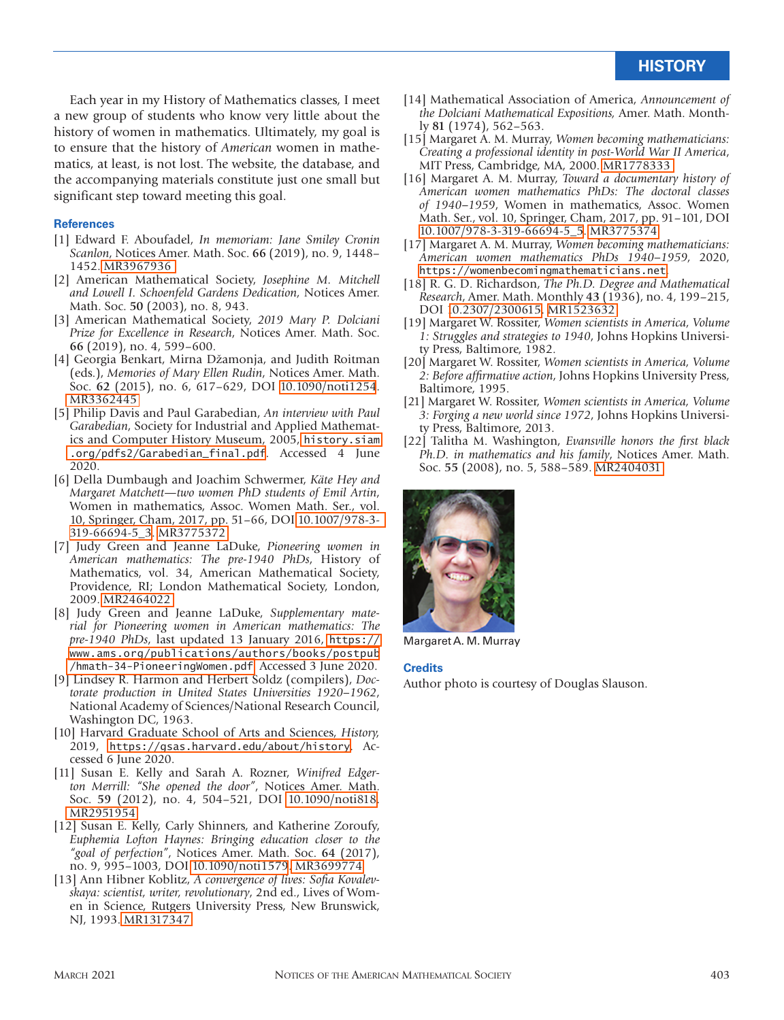Each year in my History of Mathematics classes, I meet a new group of students who know very little about the history of women in mathematics. Ultimately, my goal is to ensure that the history of *American* women in mathematics, at least, is not lost. The website, the database, and the accompanying materials constitute just one small but significant step toward meeting this goal.

#### **References**

- [1] Edward F. Aboufadel, *In memoriam: Jane Smiley Cronin Scanlon*, Notices Amer. Math. Soc. **66** (2019), no. 9, 1448– 1452. [MR3967936](http://www.ams.org/mathscinet-getitem?mr=3967936)
- [2] American Mathematical Society, *Josephine M. Mitchell and Lowell I. Schoenfeld Gardens Dedication,* Notices Amer. Math. Soc. **50** (2003), no. 8, 943.
- [3] American Mathematical Society, *2019 Mary P. Dolciani Prize for Excellence in Research*, Notices Amer. Math. Soc. **66** (2019), no. 4, 599–600.
- [4] Georgia Benkart, Mirna Džamonja, and Judith Roitman (eds.), *Memories of Mary Ellen Rudin*, Notices Amer. Math. Soc. **62** (2015), no. 6, 617–629, DOI [10.1090/noti1254](http://dx.doi.org/10.1090/noti1254). [MR3362445](http://www.ams.org/mathscinet-getitem?mr=3362445)
- [5] Philip Davis and Paul Garabedian, *An interview with Paul Garabedian*, Society for Industrial and Applied Mathematics and Computer History Museum, 2005, [history.siam](http://history.siam.org/pdfs2/Garabedian_final.pdf) [.org/pdfs2/Garabedian\\_final.pdf](http://history.siam.org/pdfs2/Garabedian_final.pdf). Accessed 4 June 2020.
- [6] Della Dumbaugh and Joachim Schwermer, *Käte Hey and Margaret Matchett—two women PhD students of Emil Artin*, Women in mathematics, Assoc. Women Math. Ser., vol. 10, Springer, Cham, 2017, pp. 51–66, DOI [10.1007/978-3-](http://dx.doi.org/10.1007/978-3-319-66694-5_3) [319-66694-5\\_3](http://dx.doi.org/10.1007/978-3-319-66694-5_3). [MR3775372](http://www.ams.org/mathscinet-getitem?mr=3775372)
- [7] Judy Green and Jeanne LaDuke, *Pioneering women in American mathematics: The pre-1940 PhDs*, History of Mathematics, vol. 34, American Mathematical Society, Providence, RI; London Mathematical Society, London, 2009. [MR2464022](http://www.ams.org/mathscinet-getitem?mr=2464022)
- [8] Judy Green and Jeanne LaDuke, *Supplementary material for Pioneering women in American mathematics: The pre-1940 PhDs*, last updated 13 January 2016, [https://](https://www.ams.org/publications/authors/books/postpub/hmath-34-PioneeringWomen.pdf) [www.ams.org/publications/authors/books/postpub](https://www.ams.org/publications/authors/books/postpub/hmath-34-PioneeringWomen.pdf) [/hmath-34-PioneeringWomen.pdf](https://www.ams.org/publications/authors/books/postpub/hmath-34-PioneeringWomen.pdf). Accessed 3 June 2020.
- [9] Lindsey R. Harmon and Herbert Soldz (compilers), *Doctorate production in United States Universities 1920–1962*, National Academy of Sciences/National Research Council, Washington DC, 1963.
- [10] Harvard Graduate School of Arts and Sciences, *History,*  2019, <https://gsas.harvard.edu/about/history>. Accessed 6 June 2020.
- [11] Susan E. Kelly and Sarah A. Rozner, *Winifred Edgerton Merrill: "She opened the door"*, Notices Amer. Math. Soc. **59** (2012), no. 4, 504–521, DOI [10.1090/noti818.](http://dx.doi.org/10.1090/noti818) [MR2951954](http://www.ams.org/mathscinet-getitem?mr=2951954)
- [12] Susan E. Kelly, Carly Shinners, and Katherine Zoroufy, *Euphemia Lofton Haynes: Bringing education closer to the "goal of perfection"*, Notices Amer. Math. Soc. **64** (2017), no. 9, 995–1003, DOI [10.1090/noti1579](http://dx.doi.org/10.1090/noti1579)[. MR3699774](http://www.ams.org/mathscinet-getitem?mr=3699774)
- [13] Ann Hibner Koblitz, *A convergence of lives: Sofia Kovalevskaya: scientist, writer, revolutionary*, 2nd ed., Lives of Women in Science, Rutgers University Press, New Brunswick, NJ, 1993. [MR1317347](http://www.ams.org/mathscinet-getitem?mr=1317347)
- [14] Mathematical Association of America, *Announcement of the Dolciani Mathematical Expositions,* Amer. Math. Monthly **81** (1974), 562–563.
- [15] Margaret A. M. Murray, *Women becoming mathematicians: Creating a professional identity in post-World War II America*, MIT Press, Cambridge, MA, 2000. [MR1778333](http://www.ams.org/mathscinet-getitem?mr=1778333)
- [16] Margaret A. M. Murray, *Toward a documentary history of American women mathematics PhDs: The doctoral classes of 1940–1959*, Women in mathematics, Assoc. Women Math. Ser., vol. 10, Springer, Cham, 2017, pp. 91–101, DOI [10.1007/978-3-319-66694-5\\_5](http://dx.doi.org/10.1007/978-3-319-66694-5_5). [MR3775374](http://www.ams.org/mathscinet-getitem?mr=3775374)
- [17] Margaret A. M. Murray, *Women becoming mathematicians: American women mathematics PhDs 1940–1959,* 2020, [https://womenbecomingmathematicians.net](http://WomenBecomingMathematicians.net).
- [18] R. G. D. Richardson, *The Ph.D. Degree and Mathematical Research*, Amer. Math. Monthly **43** (1936), no. 4, 199–215, DOI [10.2307/2300615.](http://dx.doi.org/10.2307/2300615) [MR1523632](http://www.ams.org/mathscinet-getitem?mr=1523632)
- [19] Margaret W. Rossiter, *Women scientists in America, Volume 1: Struggles and strategies to 1940*, Johns Hopkins University Press, Baltimore, 1982.
- [20] Margaret W. Rossiter, *Women scientists in America, Volume 2: Before affirmative action*, Johns Hopkins University Press, Baltimore, 1995.
- [21] Margaret W. Rossiter, *Women scientists in America, Volume 3: Forging a new world since 1972*, Johns Hopkins University Press, Baltimore, 2013.
- [22] Talitha M. Washington, *Evansville honors the first black Ph.D. in mathematics and his family*, Notices Amer. Math. Soc. **55** (2008), no. 5, 588–589. [MR2404031](http://www.ams.org/mathscinet-getitem?mr=2404031)



Margaret A. M. Murray

#### **Credits**

Author photo is courtesy of Douglas Slauson.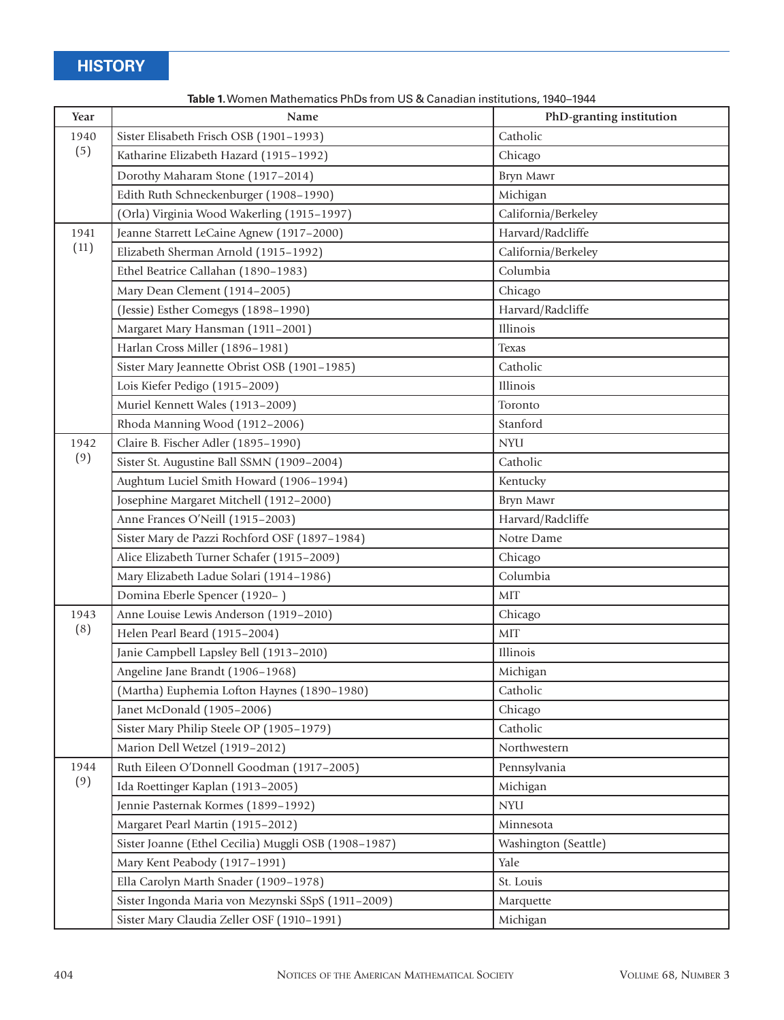| Year | Name                                                 | PhD-granting institution |  |
|------|------------------------------------------------------|--------------------------|--|
| 1940 | Sister Elisabeth Frisch OSB (1901-1993)              | Catholic                 |  |
| (5)  | Katharine Elizabeth Hazard (1915-1992)               | Chicago                  |  |
|      | Dorothy Maharam Stone (1917-2014)                    | Bryn Mawr                |  |
|      | Edith Ruth Schneckenburger (1908-1990)               | Michigan                 |  |
|      | (Orla) Virginia Wood Wakerling (1915-1997)           | California/Berkeley      |  |
| 1941 | Jeanne Starrett LeCaine Agnew (1917-2000)            | Harvard/Radcliffe        |  |
| (11) | Elizabeth Sherman Arnold (1915-1992)                 | California/Berkeley      |  |
|      | Ethel Beatrice Callahan (1890-1983)                  | Columbia                 |  |
|      | Mary Dean Clement (1914-2005)                        | Chicago                  |  |
|      | (Jessie) Esther Comegys (1898-1990)                  | Harvard/Radcliffe        |  |
|      | Margaret Mary Hansman (1911-2001)                    | Illinois                 |  |
|      | Harlan Cross Miller (1896-1981)                      | <b>Texas</b>             |  |
|      | Sister Mary Jeannette Obrist OSB (1901-1985)         | Catholic                 |  |
|      | Lois Kiefer Pedigo (1915-2009)                       | Illinois                 |  |
|      | Muriel Kennett Wales (1913-2009)                     | Toronto                  |  |
|      | Rhoda Manning Wood (1912-2006)                       | Stanford                 |  |
| 1942 | Claire B. Fischer Adler (1895-1990)                  | <b>NYU</b>               |  |
| (9)  | Sister St. Augustine Ball SSMN (1909-2004)           | Catholic                 |  |
|      | Aughtum Luciel Smith Howard (1906-1994)              | Kentucky                 |  |
|      | Josephine Margaret Mitchell (1912-2000)              | Bryn Mawr                |  |
|      | Anne Frances O'Neill (1915-2003)                     | Harvard/Radcliffe        |  |
|      | Sister Mary de Pazzi Rochford OSF (1897-1984)        | Notre Dame               |  |
|      | Alice Elizabeth Turner Schafer (1915-2009)           | Chicago                  |  |
|      | Mary Elizabeth Ladue Solari (1914-1986)              | Columbia                 |  |
|      | Domina Eberle Spencer (1920-)                        | <b>MIT</b>               |  |
| 1943 | Anne Louise Lewis Anderson (1919-2010)               | Chicago                  |  |
| (8)  | Helen Pearl Beard (1915-2004)                        | MIT                      |  |
|      | Janie Campbell Lapsley Bell (1913-2010)              | Illinois                 |  |
|      | Angeline Jane Brandt (1906-1968)                     | Michigan                 |  |
|      | (Martha) Euphemia Lofton Haynes (1890-1980)          | Catholic                 |  |
|      | Janet McDonald (1905-2006)                           | Chicago                  |  |
|      | Sister Mary Philip Steele OP (1905-1979)             | Catholic                 |  |
|      | Marion Dell Wetzel (1919-2012)                       | Northwestern             |  |
| 1944 | Ruth Eileen O'Donnell Goodman (1917-2005)            | Pennsylvania             |  |
| (9)  | Ida Roettinger Kaplan (1913-2005)                    | Michigan                 |  |
|      | Jennie Pasternak Kormes (1899-1992)                  | <b>NYU</b>               |  |
|      | Margaret Pearl Martin (1915-2012)                    | Minnesota                |  |
|      | Sister Joanne (Ethel Cecilia) Muggli OSB (1908-1987) | Washington (Seattle)     |  |
|      | Mary Kent Peabody (1917-1991)                        | Yale                     |  |
|      | Ella Carolyn Marth Snader (1909-1978)                | St. Louis                |  |
|      | Sister Ingonda Maria von Mezynski SSpS (1911-2009)   | Marquette                |  |
|      | Sister Mary Claudia Zeller OSF (1910-1991)           | Michigan                 |  |

**Table 1.** Women Mathematics PhDs from US & Canadian institutions, 1940–1944